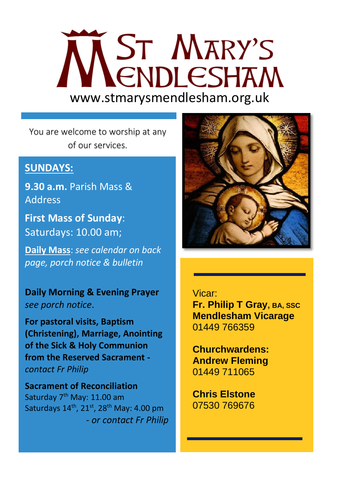# WENDLESHAM www.stmarysmendlesham.org.uk

You are welcome to worship at any of our services.

# **SUNDAYS:**

**9.30 a.m.** Parish Mass & **Address** 

**First Mass of Sunday**: Saturdays: 10.00 am;

**Daily Mass**: *see calendar on back page, porch notice & bulletin*

**Daily Morning & Evening Prayer**  *see porch notice*.

**For pastoral visits, Baptism (Christening), Marriage, Anointing of the Sick & Holy Communion from the Reserved Sacrament**  *contact Fr Philip*

**Sacrament of Reconciliation**  Saturday 7<sup>th</sup> May: 11.00 am Saturdays  $14^{\text{th}}$ ,  $21^{\text{st}}$ ,  $28^{\text{th}}$  May: 4.00 pm - *or contact Fr Philip*



#### Vicar:

 **Fr. Philip T Gray, BA, SSC Mendlesham Vicarage** 01449 766359 Ī

> Ī

> Ī

 **Churchwardens: Andrew Fleming**  01449 711065

 **Chris Elstone**  07530 769676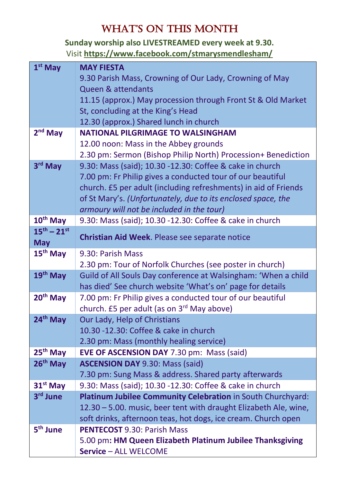# WHAT'S ON THIS MONTH

**Sunday worship also LIVESTREAMED every week at 9.30.** Visit **<https://www.facebook.com/stmarysmendlesham/>**

| $1st$ May                                   | <b>MAY FIESTA</b>                                                                               |
|---------------------------------------------|-------------------------------------------------------------------------------------------------|
|                                             | 9.30 Parish Mass, Crowning of Our Lady, Crowning of May                                         |
|                                             | Queen & attendants                                                                              |
|                                             | 11.15 (approx.) May procession through Front St & Old Market                                    |
|                                             | St, concluding at the King's Head                                                               |
|                                             | 12.30 (approx.) Shared lunch in church                                                          |
| $2nd$ May                                   | <b>NATIONAL PILGRIMAGE TO WALSINGHAM</b>                                                        |
|                                             | 12.00 noon: Mass in the Abbey grounds                                                           |
|                                             | 2.30 pm: Sermon (Bishop Philip North) Procession+ Benediction                                   |
| 3rd May                                     | 9.30: Mass (said); 10.30 -12.30: Coffee & cake in church                                        |
|                                             | 7.00 pm: Fr Philip gives a conducted tour of our beautiful                                      |
|                                             | church. £5 per adult (including refreshments) in aid of Friends                                 |
|                                             | of St Mary's. (Unfortunately, due to its enclosed space, the                                    |
|                                             | armoury will not be included in the tour)                                                       |
| 10 <sup>th</sup> May<br>$15^{th} - 21^{st}$ | 9.30: Mass (said); 10.30 -12.30: Coffee & cake in church                                        |
| <b>May</b>                                  | Christian Aid Week. Please see separate notice                                                  |
| 15 <sup>th</sup> May                        | 9.30: Parish Mass                                                                               |
|                                             | 2.30 pm: Tour of Norfolk Churches (see poster in church)                                        |
| 19 <sup>th</sup> May                        | Guild of All Souls Day conference at Walsingham: 'When a child                                  |
|                                             | has died' See church website 'What's on' page for details                                       |
| 20 <sup>th</sup> May                        | 7.00 pm: Fr Philip gives a conducted tour of our beautiful                                      |
|                                             | church. £5 per adult (as on 3 <sup>rd</sup> May above)                                          |
| 24 <sup>th</sup> May                        | Our Lady, Help of Christians                                                                    |
|                                             | 10.30 - 12.30: Coffee & cake in church                                                          |
|                                             | 2.30 pm: Mass (monthly healing service)                                                         |
| 25 <sup>th</sup> May<br>$26th$ May          | EVE OF ASCENSION DAY 7.30 pm: Mass (said)                                                       |
|                                             | <b>ASCENSION DAY 9.30: Mass (said)</b><br>7.30 pm: Sung Mass & address. Shared party afterwards |
| 31 <sup>st</sup> May                        | 9.30: Mass (said); 10.30 -12.30: Coffee & cake in church                                        |
| 3rd June                                    | Platinum Jubilee Community Celebration in South Churchyard:                                     |
|                                             | 12.30 - 5.00. music, beer tent with draught Elizabeth Ale, wine,                                |
|                                             | soft drinks, afternoon teas, hot dogs, ice cream. Church open                                   |
| 5 <sup>th</sup> June                        | <b>PENTECOST 9.30: Parish Mass</b>                                                              |
|                                             | 5.00 pm: HM Queen Elizabeth Platinum Jubilee Thanksgiving                                       |
|                                             | Service - ALL WELCOME                                                                           |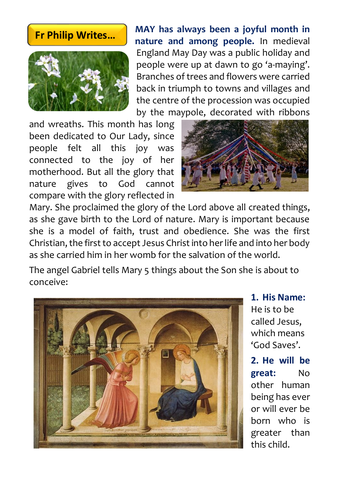### **Fr Philip Writes…**



**MAY has always been a joyful month in nature and among people.** In medieval England May Day was a public holiday and people were up at dawn to go 'a-maying'. Branches of trees and flowers were carried back in triumph to towns and villages and the centre of the procession was occupied by the maypole, decorated with ribbons

and wreaths. This month has long been dedicated to Our Lady, since people felt all this joy was connected to the joy of her motherhood. But all the glory that nature gives to God cannot compare with the glory reflected in



Mary. She proclaimed the glory of the Lord above all created things, as she gave birth to the Lord of nature. Mary is important because she is a model of faith, trust and obedience. She was the first Christian, the first to accept Jesus Christ into her life and into her body as she carried him in her womb for the salvation of the world.

The angel Gabriel tells Mary 5 things about the Son she is about to conceive:



**1. His Name:**  He is to be called Jesus, which means 'God Saves'.

**2. He will be great:** No other human being has ever or will ever be born who is greater than this child.